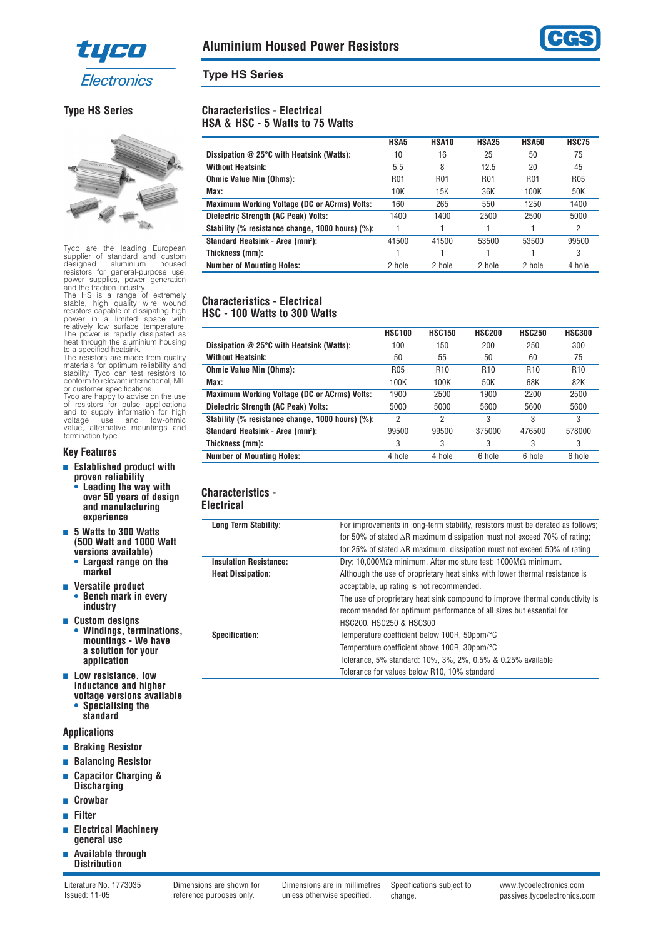



**HSA5 HSA10 HSA25 HSA50 HSC75**

**HSC100 HSC150 HSC200 HSC250 HSC300**

**):** 41500 41500 53500 53500 99500

## **Type HS Series**

**Characteristics - Electrical HSA & HSC - 5 Watts to 75 Watts**

**Standard Heatsink - Area (mm2**

**Characteristics - Electrical HSC - 100 Watts to 300 Watts**

**Standard Heatsink - Area (mm2**

**Characteristics - Electrical**

## **Type HS Series**



Tyco are the leading European supplier of standard and custom designed aluminium housed resistors for general-purpose use, power supplies, power generation

and the traction industry. The HS is a range of extremely stable, high quality wire wound resistors capable of dissipating high power in a limited space with relatively low surface temperature. The power is rapidly dissipated as heat through the aluminium housing to a specified heatsink.

The resistors are made from quality materials for optimum reliability and stability. Tyco can test resistors to conform to relevant international, MIL or customer specifications. Tyco are happy to advise on the use

of resistors for pulse applications and to supply information for high voltage use and low-ohmic value, alternative mountings and termination type.

#### **Key Features**

- **Established product with proven reliability • Leading the way with over 50 years of design and manufacturing**
- **experience** ■ **5 Watts to 300 Watts (500 Watt and 1000 Watt versions available) • Largest range on the market**
- **Versatile product • Bench mark in every industry**
- **Custom designs • Windings, terminations, mountings - We have a solution for your**
- **application** ■ Low resistance, low **inductance and higher voltage versions available • Specialising the**
	- **standard**

#### **Applications**

- **Braking Resistor**
- **Balancing Resistor**
- **Capacitor Charging & Discharging**
- **Crowbar**
- **Filter**
- **Electrical Machinery general use**
- **Available through Distribution**

**Long Term Stability:** For improvements in long-term stability, resistors must be derated as follows;

**Dissipation @ 25°C with Heatsink (Watts):** 10 16 25 50 75 **Without Heatsink:** 5.5 8 12.5 20 45 **Ohmic Value Min (Ohms):** R01 R01 R01 R01 R05 R05 **Max:** 10K 15K 36K 100K 50K 50K **Maximum Working Voltage (DC or ACrms) Volts:** 160 265 550 1250 1400 **Dielectric Strength (AC Peak) Volts:** 1400 1400 2500 2500 5000 **Stability (% resistance change, 1000 hours) (%):** 1 1 1 1 2

**Thickness (mm):** 1 1 1 1 3 **Number of Mounting Holes:** 2 hole 2 hole 2 hole 2 hole 4 hole

**Dissipation @ 25°C with Heatsink (Watts):** 100 150 200 250 300 **Without Heatsink:** 50 55 50 60 75 **Ohmic Value Min (Ohms):** R05 R10 R10 R10 R10 R10 **Max:** 100K 100K 50K 68K 82K **Maximum Working Voltage (DC or ACrms) Volts:** 1900 2500 1900 2200 2500 **Dielectric Strength (AC Peak) Volts:** 5000 5000 5600 5600 5600 **Stability (% resistance change, 1000 hours) (%):** 2 2 3 3 3 3

**Thickness (mm):** 33 33 3 **Number of Mounting Holes:** 4 hole 4 hole 6 hole 6 hole 6 hole 6 hole 6 hole

**Insulation Resistance:** Dry: 10,000MΩ minimum. After moisture test: 1000MΩ minimum. **Heat Dissipation:** Although the use of proprietary heat sinks with lower thermal resistance is acceptable, up rating is not recommended.

HSC200, HSC250 & HSC300

Temperature coefficient above 100R, 30ppm/°C

Tolerance for values below R10, 10% standard

Tolerance, 5% standard: 10%, 3%, 2%, 0.5% & 0.25% available

**Specification:** Temperature coefficient below 100R, 50ppm/°C

for 50% of stated ∆R maximum dissipation must not exceed 70% of rating; for 25% of stated ∆R maximum, dissipation must not exceed 50% of rating

**):** 99500 99500 375000 476500 578000

The use of proprietary heat sink compound to improve thermal conductivity is recommended for optimum performance of all sizes but essential for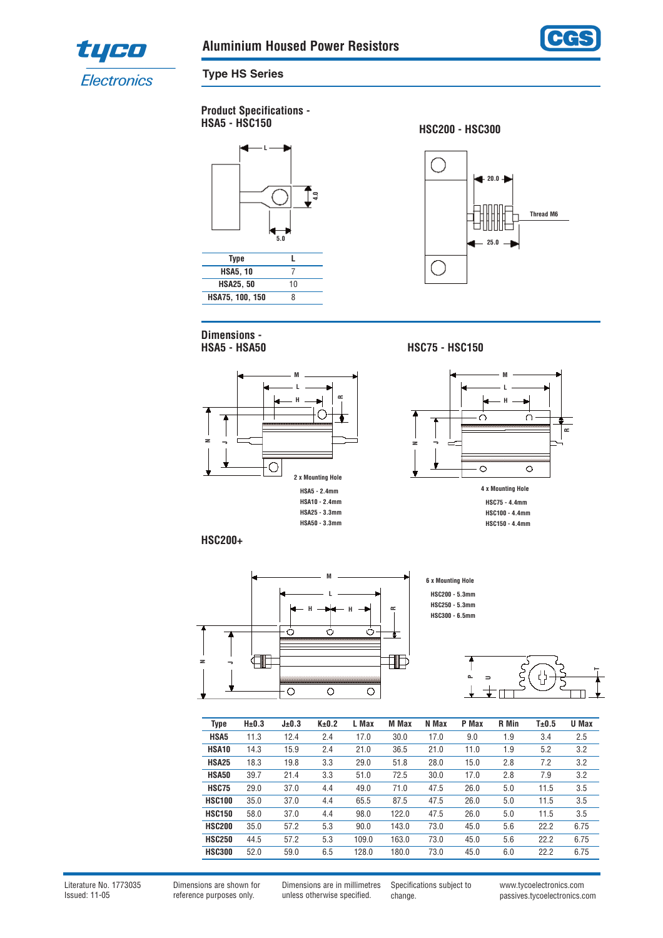



**Type HS Series**

**Product Specifications -** 



**Dimensions - HSA5 - HSA50**



**HSA5 - HSC150 HSC200 - HSC300**



**HSC75 - HSC150**



**HSC100 - 4.4mm HSC150 - 4.4mm**

**HSC200+**



**6 x Mounting Hole HSC200 - 5.3mm HSC250 - 5.3mm HSC300 - 6.5mm**



| <b>Type</b>   | $H\pm 0.3$ | J±0.3 | K±0.2 | L Max | M Max | N Max | P Max | <b>R</b> Min | T±0.5 | U Max |
|---------------|------------|-------|-------|-------|-------|-------|-------|--------------|-------|-------|
| HSA5          | 11.3       | 12.4  | 2.4   | 17.0  | 30.0  | 17.0  | 9.0   | 1.9          | 3.4   | 2.5   |
| HSA10         | 14.3       | 15.9  | 2.4   | 21.0  | 36.5  | 21.0  | 11.0  | 1.9          | 5.2   | 3.2   |
| <b>HSA25</b>  | 18.3       | 19.8  | 3.3   | 29.0  | 51.8  | 28.0  | 15.0  | 2.8          | 7.2   | 3.2   |
| <b>HSA50</b>  | 39.7       | 21.4  | 3.3   | 51.0  | 72.5  | 30.0  | 17.0  | 2.8          | 7.9   | 3.2   |
| <b>HSC75</b>  | 29.0       | 37.0  | 4.4   | 49.0  | 71.0  | 47.5  | 26.0  | 5.0          | 11.5  | 3.5   |
| <b>HSC100</b> | 35.0       | 37.0  | 4.4   | 65.5  | 87.5  | 47.5  | 26.0  | 5.0          | 11.5  | 3.5   |
| <b>HSC150</b> | 58.0       | 37.0  | 4.4   | 98.0  | 122.0 | 47.5  | 26.0  | 5.0          | 11.5  | 3.5   |
| <b>HSC200</b> | 35.0       | 57.2  | 5.3   | 90.0  | 143.0 | 73.0  | 45.0  | 5.6          | 22.2  | 6.75  |
| <b>HSC250</b> | 44.5       | 57.2  | 5.3   | 109.0 | 163.0 | 73.0  | 45.0  | 5.6          | 22.2  | 6.75  |
| <b>HSC300</b> | 52.0       | 59.0  | 6.5   | 128.0 | 180.0 | 73.0  | 45.0  | 6.0          | 22.2  | 6.75  |

Literature No. 1773035 Issued: 11-05

Dimensions are shown for reference purposes only.

Dimensions are in millimetres unless otherwise specified.

Specifications subject to change.

www.tycoelectronics.com passives.tycoelectronics.com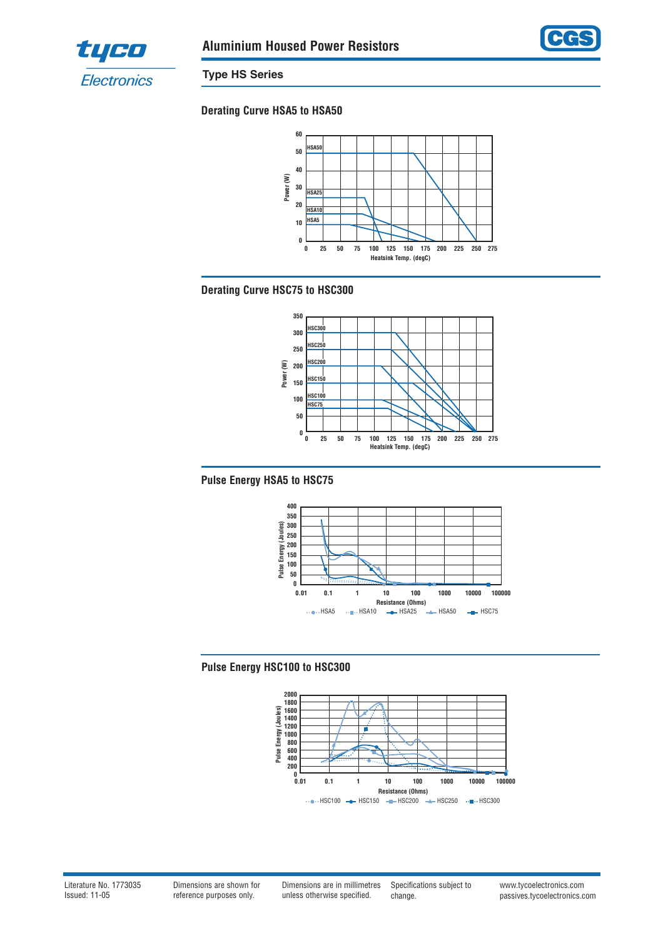



**Type HS Series**

# **Derating Curve HSA5 to HSA50**



## **Derating Curve HSC75 to HSC300**



## **Pulse Energy HSA5 to HSC75**



## **Pulse Energy HSC100 to HSC300**